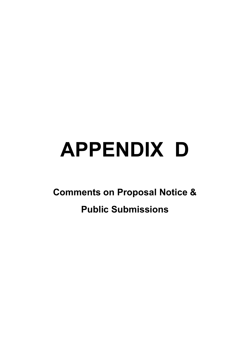# **APPENDIX D**

**Comments on Proposal Notice &** 

# **Public Submissions**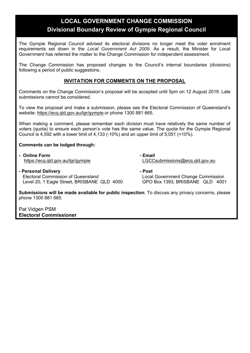# **LOCAL GOVERNMENT CHANGE COMMISSION Divisional Boundary Review of Gympie Regional Council**

The Gympie Regional Council advised its electoral divisions no longer meet the voter enrolment requirements set down in the *Local Government Act 2009*. As a result, the Minister for Local Government has referred the matter to the Change Commission for independent assessment.

The Change Commission has proposed changes to the Council's internal boundaries (divisions) following a period of public suggestions.

#### **INVITATION FOR COMMENTS ON THE PROPOSAL**

Comments on the Change Commission's proposal will be accepted until 5pm on 12 August 2019. Late submissions cannot be considered.

To view the proposal and make a submission, please see the Electoral Commission of Queensland's website: https://ecq.qld.gov.au/lgr/gympie or phone 1300 881 665.

When making a comment, please remember each division must have relatively the same number of voters (quota) to ensure each person's vote has the same value. The quota for the Gympie Regional Council is 4,592 with a lower limit of 4,133 (-10%) and an upper limit of 5,051 (+10%).

#### **Comments can be lodged through:**

*Finally Example Form*  $\sim$  **Email** *Finally Email* 

https://ecq.qld.gov.au/lgr/gympie LGCCsubmissions@ecq.qld.gov.au

**- Personal Delivery - Post** Electoral Commission of Queensland Local Government Change Commission Level 20, 1 Eagle Street, BRISBANE QLD 4000 GPO Box 1393, BRISBANE QLD 4001

**Submissions will be made available for public inspection**. To discuss any privacy concerns, please phone 1300 881 665.

Pat Vidgen PSM **Electoral Commissioner**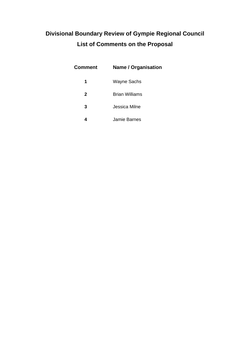# **Divisional Boundary Review of Gympie Regional Council List of Comments on the Proposal**

| Comment      | <b>Name / Organisation</b> |
|--------------|----------------------------|
| 1            | Wayne Sachs                |
| $\mathbf{2}$ | <b>Brian Williams</b>      |
| 3            | Jessica Milne              |
|              | Jamie Barnes               |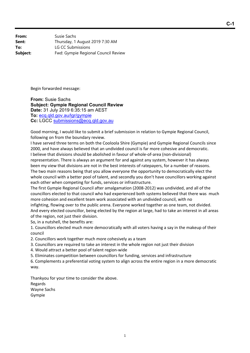**From:** Susie Sachs **Sent:** Thursday, 1 August 2019 7:30 AM **To:** LG CC Submissions **Subject:** Fwd: Gympie Regional Council Review

Begin forwarded message:

**From:** Susie Sachs **Subject: Gympie Regional Council Review Date:** 31 July 2019 6:35:15 am AEST **To:** ecq.qld.gov.au/lgr/gympie **Cc:** LGCC submissions@ecq.qld.gov.au

Good morning, I would like to submit a brief submission in relation to Gympie Regional Council, following on from the boundary review.

I have served three terms on both the Cooloola Shire (Gympie) and Gympie Regional Councils since 2000, and have always believed that an undivided council is far more cohesive and democratic. I believe that divisions should be abolished in favour of whole‐of‐area (non‐divisional) representation. There is always an argument for and against any system, however it has always been my view that divisions are not in the best interests of ratepayers, for a number of reasons. The two main reasons being that you allow everyone the opportunity to democratically elect the whole council with a better pool of talent, and secondly you don't have councillors working against each other when competing for funds, services or infrastructure.

The first Gympie Regional Council after amalgamation (2008‐2012) was undivided, and all of the councillors elected to that council who had experienced both systems believed that there was much more cohesion and excellent team work associated with an undivided council, with no infighting, flowing over to the public arena. Everyone worked together as one team, not divided. And every elected councillor, being elected by the region at large, had to take an interest in all areas of the region, not just their division.

So, in a nutshell, the benefits are:

1. Councillors elected much more democratically with all voters having a say in the makeup of their council

2. Councillors work together much more cohesively as a team

3. Councillors are required to take an interest in the whole region not just their division

4. Would attract a better pool of talent region‐wide

5. Eliminates competition between councillors for funding, services and infrastructure

6. Complements a preferential voting system to align across the entire region in a more democratic way.

Thankyou for your time to consider the above. Regards Wayne Sachs Gympie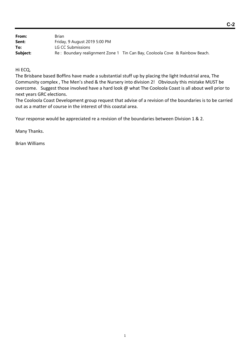| From:    | Brian                                                                       |
|----------|-----------------------------------------------------------------------------|
| Sent:    | Friday, 9 August 2019 5:00 PM                                               |
| To:      | LG CC Submissions                                                           |
| Subject: | Re: Boundary realignment Zone 1 Tin Can Bay, Cooloola Cove & Rainbow Beach. |

Hi ECQ,

The Brisbane based Boffins have made a substantial stuff up by placing the light Industrial area, The Community complex , The Men's shed & the Nursery into division 2! Obviously this mistake MUST be overcome. Suggest those involved have a hard look @ what The Cooloola Coast is all about well prior to next years GRC elections.

The Cooloola Coast Development group request that advise of a revision of the boundaries is to be carried out as a matter of course in the interest of this coastal area.

Your response would be appreciated re a revision of the boundaries between Division 1 & 2.

Many Thanks.

Brian Williams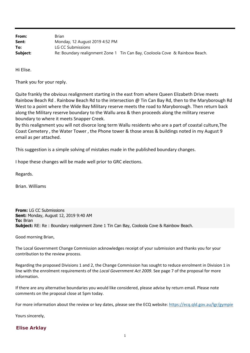| From:    | Brian                                                                       |
|----------|-----------------------------------------------------------------------------|
| Sent:    | Monday, 12 August 2019 4:52 PM                                              |
| To:      | LG CC Submissions                                                           |
| Subject: | Re: Boundary realignment Zone 1 Tin Can Bay, Cooloola Cove & Rainbow Beach. |

Hi Elise.

Thank you for your reply.

Quite frankly the obvious realignment starting in the east from where Queen Elizabeth Drive meets Rainbow Beach Rd . Rainbow Beach Rd to the intersection @ Tin Can Bay Rd, then to the Maryborough Rd West to a point where the Wide Bay Military reserve meets the road to Maryborough. Then return back along the Military reserve boundary to the Wallu area & then proceeds along the military reserve boundary to where it meets Snapper Creek.

By this realignment you will not divorce long term Wallu residents who are a part of coastal culture,The Coast Cemetery , the Water Tower , the Phone tower & those areas & buildings noted in my August 9 email as per attached.

This suggestion is a simple solving of mistakes made in the published boundary changes.

I hope these changes will be made well prior to GRC elections.

Regards.

Brian. Williams

**From:** LG CC Submissions **Sent:** Monday, August 12, 2019 9:40 AM **To:** Brian **Subject:** RE: Re : Boundary realignment Zone 1 Tin Can Bay, Cooloola Cove & Rainbow Beach.

Good morning Brian,

The Local Government Change Commission acknowledges receipt of your submission and thanks you for your contribution to the review process.

Regarding the proposed Divisions 1 and 2, the Change Commission has sought to reduce enrolment in Division 1 in line with the enrolment requirements of the *Local Government Act 2009*. See page 7 of the proposal for more information.

If there are any alternative boundaries you would like considered, please advise by return email. Please note comments on the proposal close at 5pm today.

For more information about the review or key dates, please see the ECQ website: https://ecq.qld.gov.au/lgr/gympie

Yours sincerely,

#### **Elise Arklay**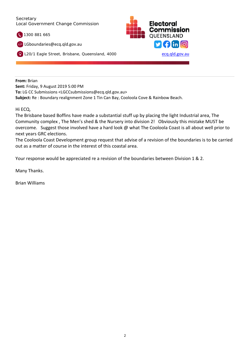#### **Secretary** Local Government Change Commission

1300 881 665

LGboundaries@ecq.qld.gov.au





**From:** Brian **Sent:** Friday, 9 August 2019 5:00 PM **To:** LG CC Submissions <LGCCsubmissions@ecq.qld.gov.au> **Subject:** Re : Boundary realignment Zone 1 Tin Can Bay, Cooloola Cove & Rainbow Beach.

#### Hi ECQ,

The Brisbane based Boffins have made a substantial stuff up by placing the light Industrial area, The Community complex , The Men's shed & the Nursery into division 2! Obviously this mistake MUST be overcome. Suggest those involved have a hard look @ what The Cooloola Coast is all about well prior to next years GRC elections.

The Cooloola Coast Development group request that advise of a revision of the boundaries is to be carried out as a matter of course in the interest of this coastal area.

Your response would be appreciated re a revision of the boundaries between Division 1 & 2.

Many Thanks.

Brian Williams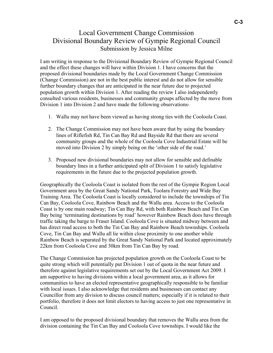# Local Government Change Commission Divisional Boundary Review of Gympie Regional Council Submission by Jessica Milne

I am writing in response to the Divisional Boundary Review of Gympie Regional Council and the effect these changes will have within Division 1. I have concerns that the proposed divisional boundaries made by the Local Government Change Commission (Change Commission) are not in the best public interest and do not allow for sensible further boundary changes that are anticipated in the near future due to projected population growth within Division 1. After reading the review I also independently consulted various residents, businesses and community groups affected by the move from Division 1 into Division 2 and have made the following observations-

- 1. Wallu may not have been viewed as having strong ties with the Cooloola Coast.
- 2. The Change Commission may not have been aware that by using the boundary lines of Riflefish Rd, Tin Can Bay Rd and Bayside Rd that there are several community groups and the whole of the Cooloola Cove Industrial Estate will be moved into Division 2 by simply being on the 'other side of the road.'
- 3. Proposed new divisional boundaries may not allow for sensible and definable boundary lines in a further anticipated split of Division 1 to satisfy legislative requirements in the future due to the projected population growth.

Geographically the Cooloola Coast is isolated from the rest of the Gympie Region Local Government area by the Great Sandy National Park, Toolara Forestry and Wide Bay Training Area. The Cooloola Coast is locally considered to include the townships of Tin Can Bay, Cooloola Cove, Rainbow Beach and the Wallu area. Access to the Cooloola Coast is by one main roadway; Tin Can Bay Rd, with both Rainbow Beach and Tin Can Bay being 'terminating destinations by road' however Rainbow Beach does have through traffic taking the barge to Fraser Island. Cooloola Cove is situated midway between and has direct road access to both the Tin Can Bay and Rainbow Beach townships. Cooloola Cove, Tin Can Bay and Wallu all lie within close proximity to one another while Rainbow Beach is separated by the Great Sandy National Park and located approximately 22km from Cooloola Cove and 30km from Tin Can Bay by road.

The Change Commission has projected population growth on the Cooloola Coast to be quite strong which will potentially put Division 1 out of quota in the near future and therefore against legislative requirements set out by the Local Government Act 2009. I am supportive to having divisions within a local government area, as it allows for communities to have an elected representative geographically responsible to be familiar with local issues. I also acknowledge that residents and businesses can contact any Councillor from any division to discuss council matters; especially if it is related to their portfolio, therefore it does not limit electors to having access to just one representative in Council.

I am opposed to the proposed divisional boundary that removes the Wallu area from the division containing the Tin Can Bay and Cooloola Cove townships. I would like the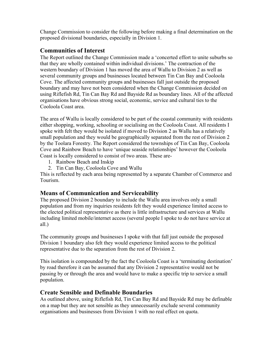Change Commission to consider the following before making a final determination on the proposed divisional boundaries, especially in Division 1.

## **Communities of Interest**

The Report outlined the Change Commission made a 'concerted effort to unite suburbs so that they are wholly contained within individual divisions.' The contraction of the western boundary of Division 1 has moved the area of Wallu to Division 2 as well as several community groups and businesses located between Tin Can Bay and Cooloola Cove. The affected community groups and businesses fall just outside the proposed boundary and may have not been considered when the Change Commission decided on using Riflefish Rd, Tin Can Bay Rd and Bayside Rd as boundary lines. All of the affected organisations have obvious strong social, economic, service and cultural ties to the Cooloola Coast area.

The area of Wallu is locally considered to be part of the coastal community with residents either shopping, working, schooling or socialising on the Cooloola Coast. All residents I spoke with felt they would be isolated if moved to Division 2 as Wallu has a relatively small population and they would be geographically separated from the rest of Division 2 by the Toolara Forestry. The Report considered the townships of Tin Can Bay, Cooloola Cove and Rainbow Beach to have 'unique seaside relationships' however the Cooloola Coast is locally considered to consist of two areas. These are-

- 1. Rainbow Beach and Inskip
- 2. Tin Can Bay, Cooloola Cove and Wallu

This is reflected by each area being represented by a separate Chamber of Commerce and Tourism.

## **Means of Communication and Serviceability**

The proposed Division 2 boundary to include the Wallu area involves only a small population and from my inquiries residents felt they would experience limited access to the elected political representative as there is little infrastructure and services at Wallu including limited mobile/internet access (several people I spoke to do not have service at all.)

The community groups and businesses I spoke with that fall just outside the proposed Division 1 boundary also felt they would experience limited access to the political representative due to the separation from the rest of Division 2.

This isolation is compounded by the fact the Cooloola Coast is a 'terminating destination' by road therefore it can be assumed that any Division 2 representative would not be passing by or through the area and would have to make a specific trip to service a small population.

## **Create Sensible and Definable Boundaries**

As outlined above, using Riflefish Rd, Tin Can Bay Rd and Bayside Rd may be definable on a map but they are not sensible as they unnecessarily exclude several community organisations and businesses from Division 1 with no real effect on quota.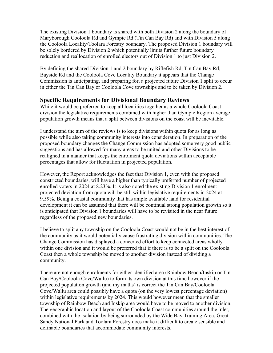The existing Division 1 boundary is shared with both Division 2 along the boundary of Maryborough Cooloola Rd and Gympie Rd (Tin Can Bay Rd) and with Division 5 along the Cooloola Locality/Toolara Forestry boundary. The proposed Division 1 boundary will be solely bordered by Division 2 which potentially limits further future boundary reduction and reallocation of enrolled electors out of Division 1 to just Division 2.

By defining the shared Division 1 and 2 boundary by Riflefish Rd, Tin Can Bay Rd, Bayside Rd and the Cooloola Cove Locality Boundary it appears that the Change Commission is anticipating, and preparing for, a projected future Division 1 split to occur in either the Tin Can Bay or Cooloola Cove townships and to be taken by Division 2.

### **Specific Requirements for Divisional Boundary Reviews**

While it would be preferred to keep all localities together as a whole Cooloola Coast division the legislative requirements combined with higher than Gympie Region average population growth means that a split between divisions on the coast will be inevitable.

I understand the aim of the reviews is to keep divisions within quota for as long as possible while also taking community interests into consideration. In preparation of the proposed boundary changes the Change Commission has adopted some very good public suggestions and has allowed for many areas to be united and other Divisions to be realigned in a manner that keeps the enrolment quota deviations within acceptable percentages that allow for fluctuation in projected population.

However, the Report acknowledges the fact that Division 1, even with the proposed constricted boundaries, will have a higher than typically preferred number of projected enrolled voters in 2024 at 8.23%. It is also noted the existing Division 1 enrolment projected deviation from quota will be still within legislative requirements in 2024 at 9.59%. Being a coastal community that has ample available land for residential development it can be assumed that there will be continual strong population growth so it is anticipated that Division 1 boundaries will have to be revisited in the near future regardless of the proposed new boundaries.

I believe to split any township on the Cooloola Coast would not be in the best interest of the community as it would potentially cause frustrating division within communities. The Change Commission has displayed a concerted effort to keep connected areas wholly within one division and it would be preferred that if there is to be a split on the Cooloola Coast then a whole township be moved to another division instead of dividing a community.

There are not enough enrolments for either identified area (Rainbow Beach/Inskip or Tin Can Bay/Cooloola Cove/Wallu) to form its own division at this time however if the projected population growth (and my maths) is correct the Tin Can Bay/Cooloola Cove/Wallu area could possibly have a quota (on the very lowest percentage deviation) within legislative requirements by 2024. This would however mean that the smaller township of Rainbow Beach and Inskip area would have to be moved to another division. The geographic location and layout of the Cooloola Coast communities around the inlet, combined with the isolation by being surrounded by the Wide Bay Training Area, Great Sandy National Park and Toolara Forestry does make it difficult to create sensible and definable boundaries that accommodate community interests.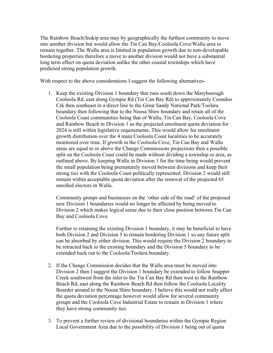The Rainbow Beach/Inskip area may by geographically the furthest community to move into another division but would allow the Tin Can Bay/Cooloola Cove/Wallu area to remain together. The Wallu area is limited in population growth due to non-developable bordering properties therefore a move to another division would not have a substantial long term effect on quota deviation unlike the other coastal townships which have predicted strong population growth.

With respect to the above considerations I suggest the following alternatives-

1. Keep the existing Division 1 boundary that runs south down the Maryborough Cooloola Rd, east along Gympie Rd (Tin Can Bay Rd) to approximately Coondoo Crk then southeast in a direct line to the Great Sandy National Park/Toolara boundary then following that to the Noosa Shire boundary and retain all of the Cooloola Coast communities being that of Wallu, Tin Can Bay, Cooloola Cove and Rainbow Beach in Division 1 as the projected enrolment quota deviation for 2024 is still within legislative requirements. This would allow for enrolment growth distribution over the 4 main Cooloola Coast localities to be accurately monitored over time. If growth in the Cooloola Cove, Tin Can Bay and Wallu areas are equal to or above the Change Commissions projections then a possible split on the Cooloola Coast could be made without dividing a township or area, as outlined above. By keeping Wallu in Division 1 for the time being would prevent the small population being prematurely moved between divisions and keep their strong ties with the Cooloola Coast politically represented. Division 2 would still remain within acceptable quota deviation after the removal of the projected 65 enrolled electors in Wallu.

Community groups and businesses on the 'other side of the road' of the proposed new Division 1 boundaries would no longer be affected by being moved to Division 2 which makes logical sense due to their close position between Tin Can Bay and Cooloola Cove.

Further to retaining the existing Division 1 boundary, it may be beneficial to have both Division 2 and Division 5 to remain bordering Division 1 so any future split can be absorbed by either division. This would require the Division 2 boundary to be retracted back to the existing boundary and the Division 5 boundary to be extended back out to the Cooloola/Toolara boundary.

- 2. If the Change Commission decides that the Wallu area must be moved into Division 2 then I suggest the Division 1 boundary be extended to follow Snapper Creek southwest from the inlet to the Tin Can Bay Rd then west to the Rainbow Beach Rd, east along the Rainbow Beach Rd then follow the Cooloola Locality Boarder around to the Noosa Shire boundary. I believe this would not really affect the quota deviation percentage however would allow for several community groups and the Cooloola Cove Industrial Estate to remain in Division 1 where they have strong community ties.
- 3. To prevent a further review of divisional boundaries within the Gympie Region Local Government Area due to the possibility of Division 1 being out of quota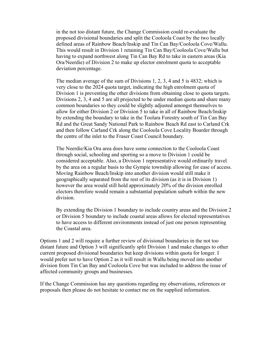in the not too distant future, the Change Commission could re-evaluate the proposed divisional boundaries and split the Cooloola Coast by the two locally defined areas of Rainbow Beach/Inskip and Tin Can Bay/Cooloola Cove/Wallu. This would result in Division 1 retaining Tin Can Bay/Cooloola Cove/Wallu but having to expand northwest along Tin Can Bay Rd to take in eastern areas (Kia Ora/Neerdie) of Division 2 to make up elector enrolment quota to acceptable deviation percentage.

The median average of the sum of Divisions 1, 2, 3, 4 and 5 is 4832; which is very close to the 2024 quota target, indicating the high enrolment quota of Division 1 is preventing the other divisions from obtaining close to quota targets. Divisions 2, 3, 4 and 5 are all projected to be under median quota and share many common boundaries so they could be slightly adjusted amongst themselves to allow for either Division 2 or Division 5 to take in all of Rainbow Beach/Inskip by extending the boundary to take in the Toolara Forestry south of Tin Can Bay Rd and the Great Sandy National Park to Rainbow Beach Rd east to Carland Crk and then follow Carland Crk along the Cooloola Cove Locality Boarder through the centre of the inlet to the Fraser Coast Council boundary.

The Neerdie/Kia Ora area does have some connection to the Cooloola Coast through social, schooling and sporting so a move to Division 1 could be considered acceptable. Also, a Division 1 representative would ordinarily travel by the area on a regular basis to the Gympie township allowing for ease of access. Moving Rainbow Beach/Inskip into another division would still make it geographically separated from the rest of its division (as it is in Division 1) however the area would still hold approximately 20% of the division enrolled electors therefore would remain a substantial population suburb within the new division.

By extending the Division 1 boundary to include country areas and the Division 2 or Division 5 boundary to include coastal areas allows for elected representatives to have access to different environments instead of just one person representing the Coastal area.

Options 1 and 2 will require a further review of divisional boundaries in the not too distant future and Option 3 will significantly split Division 1 and make changes to other current proposed divisional boundaries but keep divisions within quota for longer. I would prefer not to have Option 2 as it will result in Wallu being moved into another division from Tin Can Bay and Cooloola Cove but was included to address the issue of affected community groups and businesses.

If the Change Commission has any questions regarding my observations, references or proposals then please do not hesitate to contact me on the supplied information.